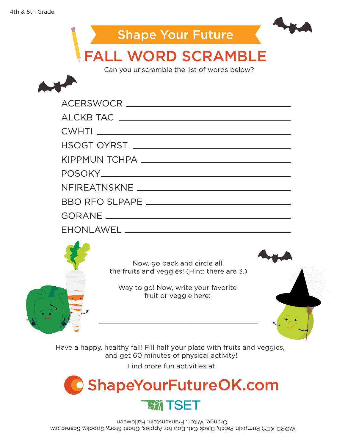

Can you unscramble the list of words below?





Now, go back and circle all the fruits and veggies! (Hint: there are 3.)

Way to go! Now, write your favorite fruit or veggie here:

\_\_\_\_\_\_\_\_\_\_\_\_\_\_\_\_\_\_\_\_\_\_\_\_\_\_\_\_\_\_\_\_\_\_\_\_\_\_\_



Have a happy, healthy fall! Fill half your plate with fruits and veggies, and get 60 minutes of physical activity!

Find more fun activities at

**ShapeYourFutureOK.com EXT TSET** 

WORD KEY: Pumpkin Patch, Black Cat, Bob for Apples, Ghost Story, Spooky, Scarecrow, Orange, Witch, Frankenstein, Halloween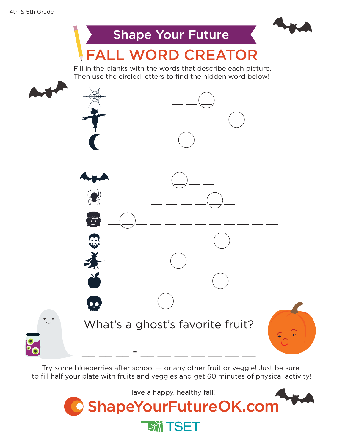

Try some blueberries after school — or any other fruit or veggie! Just be sure to fill half your plate with fruits and veggies and get 60 minutes of physical activity!